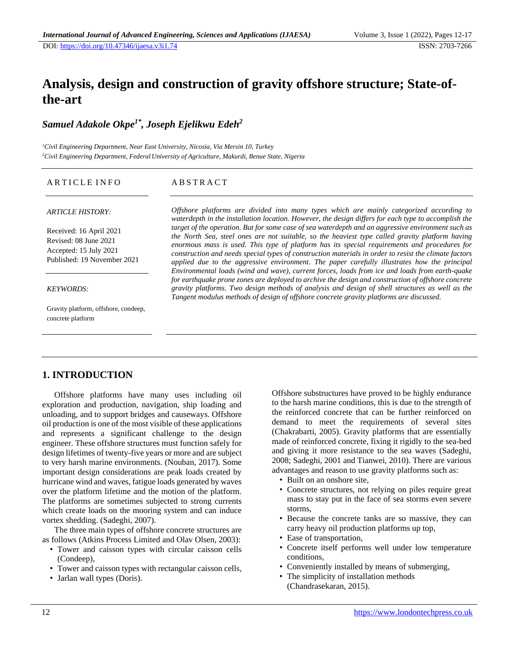# **Analysis, design and construction of gravity offshore structure; State-ofthe-art**

*Samuel Adakole Okpe1\* , Joseph Ejelikwu Edeh<sup>2</sup>*

*<sup>1</sup>Civil Engineering Department, Near East University, Nicosia, Via Mersin 10, Turkey <sup>2</sup>Civil Engineering Department, Federal University of Agriculture, Makurdi, Benue State, Nigeria*

#### ARTICLE INFO

### A B S T R A C T

#### *ARTICLE HISTORY:*

Received: 16 April 2021 Revised: 08 June 2021 Accepted: 15 July 2021 Published: 19 November 2021

#### *KEYWORDS:*

Gravity platform, offshore, condeep, concrete platform

*Offshore platforms are divided into many types which are mainly categorized according to waterdepth in the installation location. However, the design differs for each type to accomplish the target of the operation. But for some case of sea waterdepth and an aggressive environment such as the North Sea, steel ones are not suitable, so the heaviest type called gravity platform having enormous mass is used. This type of platform has its special requirements and procedures for construction and needs special types of construction materials in order to resist the climate factors applied due to the aggressive environment. The paper carefully illustrates how the principal Environmental loads (wind and wave), current forces, loads from ice and loads from earth-quake for earthquake prone zones are deployed to archive the design and construction of offshore concrete gravity platforms. Two design methods of analysis and design of shell structures as well as the Tangent modulus methods of design of offshore concrete gravity platforms are discussed.*

# **1. INTRODUCTION**

Offshore platforms have many uses including oil exploration and production, navigation, ship loading and unloading, and to support bridges and causeways. Offshore oil production is one of the most visible of these applications and represents a significant challenge to the design engineer. These offshore structures must function safely for design lifetimes of twenty-five years or more and are subject to very harsh marine environments. (Nouban, 2017). Some important design considerations are peak loads created by hurricane wind and waves, fatigue loads generated by waves over the platform lifetime and the motion of the platform. The platforms are sometimes subjected to strong currents which create loads on the mooring system and can induce vortex shedding. (Sadeghi, 2007).

The three main types of offshore concrete structures are as follows (Atkins Process Limited and Olav Olsen, 2003):

- Tower and caisson types with circular caisson cells (Condeep),
- Tower and caisson types with rectangular caisson cells,
- Jarlan wall types (Doris).

Offshore substructures have proved to be highly endurance to the harsh marine conditions, this is due to the strength of the reinforced concrete that can be further reinforced on demand to meet the requirements of several sites (Chakrabarti, 2005). Gravity platforms that are essentially made of reinforced concrete, fixing it rigidly to the sea-bed and giving it more resistance to the sea waves (Sadeghi, 2008; Sadeghi, 2001 and Tianwei, 2010). There are various advantages and reason to use gravity platforms such as:

- Built on an onshore site,
- Concrete structures, not relying on piles require great mass to stay put in the face of sea storms even severe storms,
- Because the concrete tanks are so massive, they can carry heavy oil production platforms up top,
- Ease of transportation,
- Concrete itself performs well under low temperature conditions,
- Conveniently installed by means of submerging,
- The simplicity of installation methods (Chandrasekaran, 2015).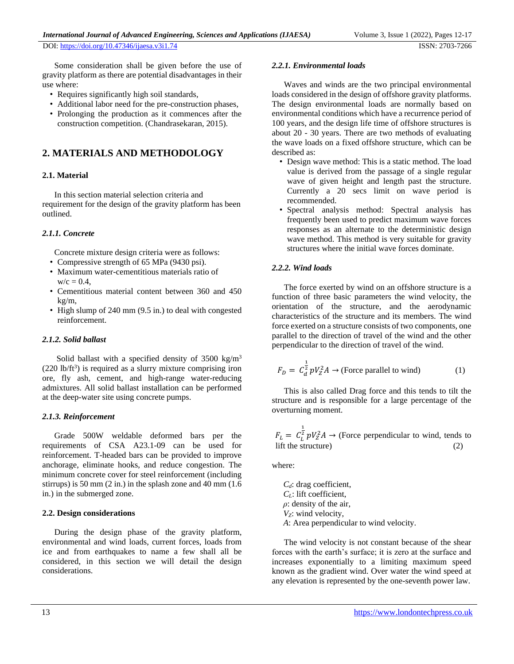Some consideration shall be given before the use of gravity platform as there are potential disadvantages in their use where:

- Requires significantly high soil standards,
- Additional labor need for the pre-construction phases,
- Prolonging the production as it commences after the construction competition. (Chandrasekaran, 2015).

# **2. MATERIALS AND METHODOLOGY**

### **2.1. Material**

In this section material selection criteria and requirement for the design of the gravity platform has been outlined.

### *2.1.1. Concrete*

Concrete mixture design criteria were as follows:

- Compressive strength of 65 MPa (9430 psi).
- Maximum water-cementitious materials ratio of  $w/c = 0.4$ .
- Cementitious material content between 360 and 450 kg/m,
- High slump of 240 mm (9.5 in.) to deal with congested reinforcement.

### *2.1.2. Solid ballast*

Solid ballast with a specified density of  $3500 \text{ kg/m}^3$  $(220 \text{ lb/ft}^3)$  is required as a slurry mixture comprising iron ore, fly ash, cement, and high-range water-reducing admixtures. All solid ballast installation can be performed at the deep-water site using concrete pumps.

### *2.1.3. Reinforcement*

Grade 500W weldable deformed bars per the requirements of CSA A23.1-09 can be used for reinforcement. T-headed bars can be provided to improve anchorage, eliminate hooks, and reduce congestion. The minimum concrete cover for steel reinforcement (including stirrups) is 50 mm (2 in.) in the splash zone and 40 mm (1.6 in.) in the submerged zone.

#### **2.2. Design considerations**

During the design phase of the gravity platform, environmental and wind loads, current forces, loads from ice and from earthquakes to name a few shall all be considered, in this section we will detail the design considerations.

#### *2.2.1. Environmental loads*

Waves and winds are the two principal environmental loads considered in the design of offshore gravity platforms. The design environmental loads are normally based on environmental conditions which have a recurrence period of 100 years, and the design life time of offshore structures is about 20 - 30 years. There are two methods of evaluating the wave loads on a fixed offshore structure, which can be described as:

- Design wave method: This is a static method. The load value is derived from the passage of a single regular wave of given height and length past the structure. Currently a 20 secs limit on wave period is recommended.
- Spectral analysis method: Spectral analysis has frequently been used to predict maximum wave forces responses as an alternate to the deterministic design wave method. This method is very suitable for gravity structures where the initial wave forces dominate.

### *2.2.2. Wind loads*

The force exerted by wind on an offshore structure is a function of three basic parameters the wind velocity, the orientation of the structure, and the aerodynamic characteristics of the structure and its members. The wind force exerted on a structure consists of two components, one parallel to the direction of travel of the wind and the other perpendicular to the direction of travel of the wind.

$$
F_D = C_d^{\frac{1}{2}} pV_Z^2 A \rightarrow \text{(Force parallel to wind)} \tag{1}
$$

This is also called Drag force and this tends to tilt the structure and is responsible for a large percentage of the overturning moment.

 $F_L = C_L^2$  $\frac{1}{2}$   $pV^2 Z A \rightarrow$  (Force perpendicular to wind, tends to lift the structure) (2)

where:

*Cd*: drag coefficient, *CL*: lift coefficient, *ρ*: density of the air, *VZ*: wind velocity, *A*: Area perpendicular to wind velocity.

The wind velocity is not constant because of the shear forces with the earth's surface; it is zero at the surface and increases exponentially to a limiting maximum speed known as the gradient wind. Over water the wind speed at any elevation is represented by the one-seventh power law.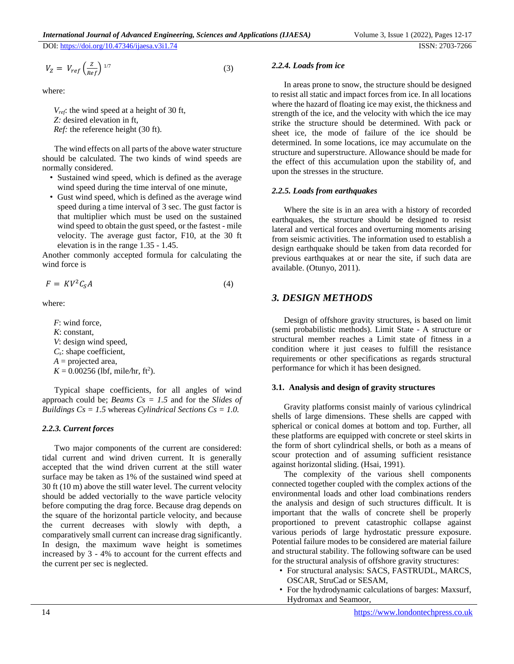$$
V_Z = V_{ref} \left(\frac{Z}{Ref}\right)^{1/7} \tag{3}
$$

where:

*Vref*: the wind speed at a height of 30 ft, *Z:* desired elevation in ft, *Ref:* the reference height (30 ft).

The wind effects on all parts of the above water structure should be calculated. The two kinds of wind speeds are normally considered.

- Sustained wind speed, which is defined as the average wind speed during the time interval of one minute,
- Gust wind speed, which is defined as the average wind speed during a time interval of 3 sec. The gust factor is that multiplier which must be used on the sustained wind speed to obtain the gust speed, or the fastest - mile velocity. The average gust factor, F10, at the 30 ft elevation is in the range 1.35 - 1.45.

Another commonly accepted formula for calculating the wind force is

$$
F = KV^2C_S A \tag{4}
$$

where:

*F*: wind force, *K*: constant, *V*: design wind speed, *Cs*: shape coefficient,  $A =$  projected area,  $K = 0.00256$  (lbf, mile/hr, ft<sup>2</sup>).

Typical shape coefficients, for all angles of wind approach could be; *Beams Cs = 1.5* and for the *Slides of Buildings Cs = 1.5* whereas *Cylindrical Sections Cs = 1.0.*

### *2.2.3. Current forces*

Two major components of the current are considered: tidal current and wind driven current. It is generally accepted that the wind driven current at the still water surface may be taken as 1% of the sustained wind speed at 30 ft (10 m) above the still water level. The current velocity should be added vectorially to the wave particle velocity before computing the drag force. Because drag depends on the square of the horizontal particle velocity, and because the current decreases with slowly with depth, a comparatively small current can increase drag significantly. In design, the maximum wave height is sometimes increased by 3 - 4% to account for the current effects and the current per sec is neglected.

#### *2.2.4. Loads from ice*

In areas prone to snow, the structure should be designed to resist all static and impact forces from ice. In all locations where the hazard of floating ice may exist, the thickness and strength of the ice, and the velocity with which the ice may strike the structure should be determined. With pack or sheet ice, the mode of failure of the ice should be determined. In some locations, ice may accumulate on the structure and superstructure. Allowance should be made for the effect of this accumulation upon the stability of, and upon the stresses in the structure.

### *2.2.5. Loads from earthquakes*

Where the site is in an area with a history of recorded earthquakes, the structure should be designed to resist lateral and vertical forces and overturning moments arising from seismic activities. The information used to establish a design earthquake should be taken from data recorded for previous earthquakes at or near the site, if such data are available. (Otunyo, 2011).

# *3. DESIGN METHODS*

Design of offshore gravity structures, is based on limit (semi probabilistic methods). Limit State - A structure or structural member reaches a Limit state of fitness in a condition where it just ceases to fulfill the resistance requirements or other specifications as regards structural performance for which it has been designed.

#### **3.1. Analysis and design of gravity structures**

Gravity platforms consist mainly of various cylindrical shells of large dimensions. These shells are capped with spherical or conical domes at bottom and top. Further, all these platforms are equipped with concrete or steel skirts in the form of short cylindrical shells, or both as a means of scour protection and of assuming sufficient resistance against horizontal sliding. (Hsai, 1991).

The complexity of the various shell components connected together coupled with the complex actions of the environmental loads and other load combinations renders the analysis and design of such structures difficult. It is important that the walls of concrete shell be properly proportioned to prevent catastrophic collapse against various periods of large hydrostatic pressure exposure. Potential failure modes to be considered are material failure and structural stability. The following software can be used for the structural analysis of offshore gravity structures:

- For structural analysis: SACS, FASTRUDL, MARCS, OSCAR, StruCad or SESAM,
- For the hydrodynamic calculations of barges: Maxsurf, Hydromax and Seamoor,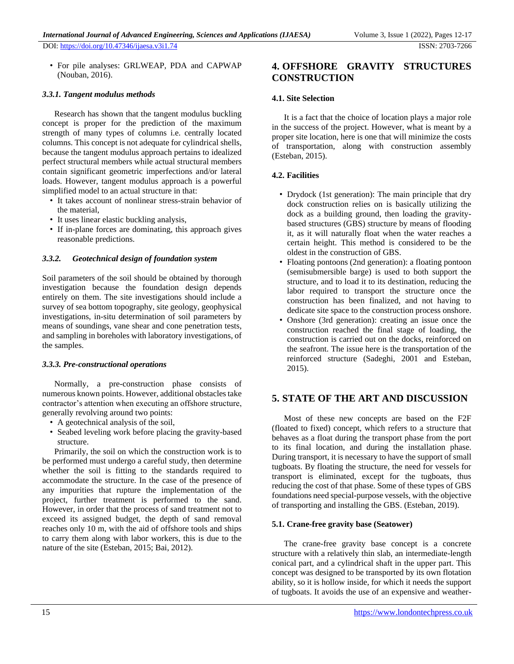• For pile analyses: GRLWEAP, PDA and CAPWAP (Nouban, 2016).

### *3.3.1. Tangent modulus methods*

Research has shown that the tangent modulus buckling concept is proper for the prediction of the maximum strength of many types of columns i.e. centrally located columns. This concept is not adequate for cylindrical shells, because the tangent modulus approach pertains to idealized perfect structural members while actual structural members contain significant geometric imperfections and/or lateral loads. However, tangent modulus approach is a powerful simplified model to an actual structure in that:

- It takes account of nonlinear stress-strain behavior of the material,
- It uses linear elastic buckling analysis,
- If in-plane forces are dominating, this approach gives reasonable predictions.

### *3.3.2. Geotechnical design of foundation system*

Soil parameters of the soil should be obtained by thorough investigation because the foundation design depends entirely on them. The site investigations should include a survey of sea bottom topography, site geology, geophysical investigations, in-situ determination of soil parameters by means of soundings, vane shear and cone penetration tests, and sampling in boreholes with laboratory investigations, of the samples.

#### *3.3.3. Pre-constructional operations*

Normally, a pre-construction phase consists of numerous known points. However, additional obstacles take contractor's attention when executing an offshore structure, generally revolving around two points:

- A geotechnical analysis of the soil,
- Seabed leveling work before placing the gravity-based structure.

Primarily, the soil on which the construction work is to be performed must undergo a careful study, then determine whether the soil is fitting to the standards required to accommodate the structure. In the case of the presence of any impurities that rupture the implementation of the project, further treatment is performed to the sand. However, in order that the process of sand treatment not to exceed its assigned budget, the depth of sand removal reaches only 10 m, with the aid of offshore tools and ships to carry them along with labor workers, this is due to the nature of the site (Esteban, 2015; Bai, 2012).

# **4. OFFSHORE GRAVITY STRUCTURES CONSTRUCTION**

### **4.1. Site Selection**

It is a fact that the choice of location plays a major role in the success of the project. However, what is meant by a proper site location, here is one that will minimize the costs of transportation, along with construction assembly (Esteban, 2015).

### **4.2. Facilities**

- Drydock (1st generation): The main principle that dry dock construction relies on is basically utilizing the dock as a building ground, then loading the gravitybased structures (GBS) structure by means of flooding it, as it will naturally float when the water reaches a certain height. This method is considered to be the oldest in the construction of GBS.
- Floating pontoons (2nd generation): a floating pontoon (semisubmersible barge) is used to both support the structure, and to load it to its destination, reducing the labor required to transport the structure once the construction has been finalized, and not having to dedicate site space to the construction process onshore.
- Onshore (3rd generation): creating an issue once the construction reached the final stage of loading, the construction is carried out on the docks, reinforced on the seafront. The issue here is the transportation of the reinforced structure (Sadeghi, 2001 and Esteban, 2015).

# **5. STATE OF THE ART AND DISCUSSION**

Most of these new concepts are based on the F2F (floated to fixed) concept, which refers to a structure that behaves as a float during the transport phase from the port to its final location, and during the installation phase. During transport, it is necessary to have the support of small tugboats. By floating the structure, the need for vessels for transport is eliminated, except for the tugboats, thus reducing the cost of that phase. Some of these types of GBS foundations need special-purpose vessels, with the objective of transporting and installing the GBS. (Esteban, 2019).

### **5.1. Crane-free gravity base (Seatower)**

The crane-free gravity base concept is a concrete structure with a relatively thin slab, an intermediate-length conical part, and a cylindrical shaft in the upper part. This concept was designed to be transported by its own flotation ability, so it is hollow inside, for which it needs the support of tugboats. It avoids the use of an expensive and weather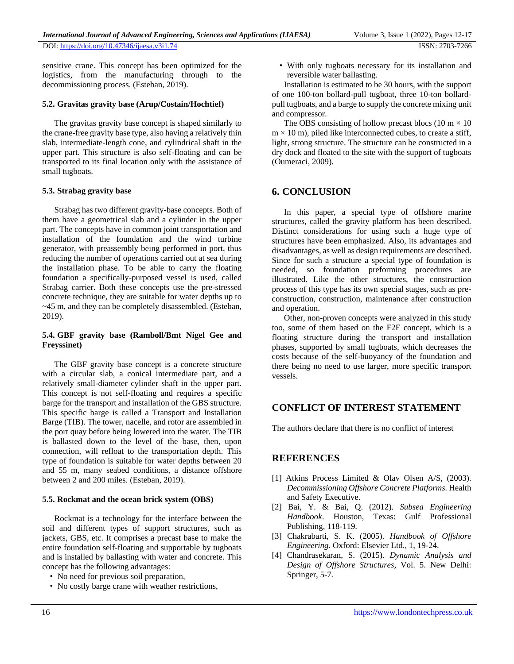sensitive crane. This concept has been optimized for the logistics, from the manufacturing through to the decommissioning process. (Esteban, 2019).

### **5.2. Gravitas gravity base (Arup/Costain/Hochtief)**

The gravitas gravity base concept is shaped similarly to the crane-free gravity base type, also having a relatively thin slab, intermediate-length cone, and cylindrical shaft in the upper part. This structure is also self-floating and can be transported to its final location only with the assistance of small tugboats.

### **5.3. Strabag gravity base**

Strabag has two different gravity-base concepts. Both of them have a geometrical slab and a cylinder in the upper part. The concepts have in common joint transportation and installation of the foundation and the wind turbine generator, with preassembly being performed in port, thus reducing the number of operations carried out at sea during the installation phase. To be able to carry the floating foundation a specifically-purposed vessel is used, called Strabag carrier. Both these concepts use the pre-stressed concrete technique, they are suitable for water depths up to ~45 m, and they can be completely disassembled. (Esteban, 2019).

### **5.4. GBF gravity base (Ramboll/Bmt Nigel Gee and Freyssinet)**

The GBF gravity base concept is a concrete structure with a circular slab, a conical intermediate part, and a relatively small-diameter cylinder shaft in the upper part. This concept is not self-floating and requires a specific barge for the transport and installation of the GBS structure. This specific barge is called a Transport and Installation Barge (TIB). The tower, nacelle, and rotor are assembled in the port quay before being lowered into the water. The TIB is ballasted down to the level of the base, then, upon connection, will refloat to the transportation depth. This type of foundation is suitable for water depths between 20 and 55 m, many seabed conditions, a distance offshore between 2 and 200 miles. (Esteban, 2019).

### **5.5. Rockmat and the ocean brick system (OBS)**

Rockmat is a technology for the interface between the soil and different types of support structures, such as jackets, GBS, etc. It comprises a precast base to make the entire foundation self-floating and supportable by tugboats and is installed by ballasting with water and concrete. This concept has the following advantages:

- No need for previous soil preparation,
- No costly barge crane with weather restrictions,

• With only tugboats necessary for its installation and reversible water ballasting.

Installation is estimated to be 30 hours, with the support of one 100-ton bollard-pull tugboat, three 10-ton bollardpull tugboats, and a barge to supply the concrete mixing unit and compressor.

The OBS consisting of hollow precast blocs (10 m  $\times$  10  $m \times 10$  m), piled like interconnected cubes, to create a stiff, light, strong structure. The structure can be constructed in a dry dock and floated to the site with the support of tugboats (Oumeraci, 2009).

# **6. CONCLUSION**

In this paper, a special type of offshore marine structures, called the gravity platform has been described. Distinct considerations for using such a huge type of structures have been emphasized. Also, its advantages and disadvantages, as well as design requirements are described. Since for such a structure a special type of foundation is needed, so foundation preforming procedures are illustrated. Like the other structures, the construction process of this type has its own special stages, such as preconstruction, construction, maintenance after construction and operation.

Other, non-proven concepts were analyzed in this study too, some of them based on the F2F concept, which is a floating structure during the transport and installation phases, supported by small tugboats, which decreases the costs because of the self-buoyancy of the foundation and there being no need to use larger, more specific transport vessels.

# **CONFLICT OF INTEREST STATEMENT**

The authors declare that there is no conflict of interest

# **REFERENCES**

- [1] Atkins Process Limited & Olav Olsen A/S, (2003). *Decommissioning Offshore Concrete Platforms.* Health and Safety Executive.
- [2] Bai, Y. & Bai, Q. (2012). *Subsea Engineering Handbook*. Houston, Texas: Gulf Professional Publishing, 118-119.
- [3] Chakrabarti, S. K. (2005). *Handbook of Offshore Engineering*. Oxford: Elsevier Ltd., 1, 19-24.
- [4] Chandrasekaran, S. (2015). *Dynamic Analysis and Design of Offshore Structures,* Vol. 5. New Delhi: Springer, 5-7.